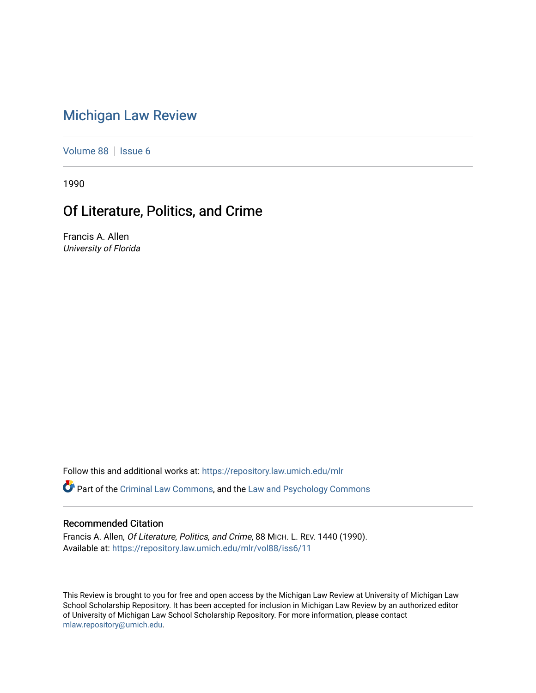# [Michigan Law Review](https://repository.law.umich.edu/mlr)

[Volume 88](https://repository.law.umich.edu/mlr/vol88) | [Issue 6](https://repository.law.umich.edu/mlr/vol88/iss6)

1990

## Of Literature, Politics, and Crime

Francis A. Allen University of Florida

Follow this and additional works at: [https://repository.law.umich.edu/mlr](https://repository.law.umich.edu/mlr?utm_source=repository.law.umich.edu%2Fmlr%2Fvol88%2Fiss6%2F11&utm_medium=PDF&utm_campaign=PDFCoverPages) 

Part of the [Criminal Law Commons,](http://network.bepress.com/hgg/discipline/912?utm_source=repository.law.umich.edu%2Fmlr%2Fvol88%2Fiss6%2F11&utm_medium=PDF&utm_campaign=PDFCoverPages) and the [Law and Psychology Commons](http://network.bepress.com/hgg/discipline/870?utm_source=repository.law.umich.edu%2Fmlr%2Fvol88%2Fiss6%2F11&utm_medium=PDF&utm_campaign=PDFCoverPages)

#### Recommended Citation

Francis A. Allen, Of Literature, Politics, and Crime, 88 MICH. L. REV. 1440 (1990). Available at: [https://repository.law.umich.edu/mlr/vol88/iss6/11](https://repository.law.umich.edu/mlr/vol88/iss6/11?utm_source=repository.law.umich.edu%2Fmlr%2Fvol88%2Fiss6%2F11&utm_medium=PDF&utm_campaign=PDFCoverPages) 

This Review is brought to you for free and open access by the Michigan Law Review at University of Michigan Law School Scholarship Repository. It has been accepted for inclusion in Michigan Law Review by an authorized editor of University of Michigan Law School Scholarship Repository. For more information, please contact [mlaw.repository@umich.edu.](mailto:mlaw.repository@umich.edu)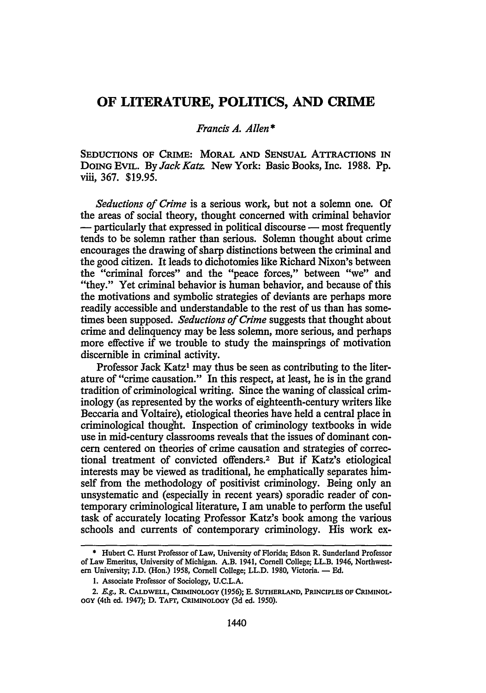### **OF LITERATURE, POLITICS, AND CRIME**

#### *Francis A. Allen\**

SEDUCTIONS OF CRIME: MORAL AND SENSUAL ATTRACTIONS IN DOING EVIL. By *Jack Katz.* New York: Basic Books, Inc. 1988. Pp. viii, 367. \$19.95.

*Seductions of Crime* is a serious work, but not a solemn one. Of the areas of social theory, thought concerned with criminal behavior  $-$  particularly that expressed in political discourse  $-$  most frequently tends to be solemn rather than serious. Solemn thought about crime encourages the drawing of sharp distinctions between the criminal and the good citizen. It leads to dichotomies like Richard Nixon's between the "criminal forces" and the "peace forces," between "we" and "they." Yet criminal behavior is human behavior, and because of this the motivations and symbolic strategies of deviants are perhaps more readily accessible and understandable to the rest of us than has sometimes been supposed. *Seductions of Crime* suggests that thought about crime and delinquency may be less solemn, more serious, and perhaps more effective if we trouble to study the mainsprings of motivation discernible in criminal activity.

Professor Jack Katz<sup>1</sup> may thus be seen as contributing to the literature of "crime causation." In this respect, at least, he is in the grand tradition of criminological writing. Since the waning of classical criminology (as represented by the works of eighteenth-century writers like Beccaria and Voltaire), etiological theories have held a central place in criminological thought. Inspection of criminology textbooks in wide use in mid-century classrooms reveals that the issues of dominant concern centered on theories of crime causation and strategies of correctional treatment of convicted offenders.2 But if Katz's etiological interests may be viewed as traditional, he emphatically separates himself from the methodology of positivist criminology. Being only an unsystematic and (especially in recent years) sporadic reader of contemporary criminological literature, I am unable to perform the useful task of accurately locating Professor Katz's book among the various schools and currents of contemporary criminology. His work ex-

<sup>•</sup> Hubert C. Hurst Professor of Law, University of Florida; Edson R. Sunderland Professor of Law Emeritus, University of Michigan. A.B. 1941, Cornell College; LL.B. 1946, Northwestern University; J.D. (Hon.) 1958, Cornell College; LL.D. 1980, Victoria. - Ed.

<sup>1.</sup> Associate Professor of Sociology, U.C.L.A.

<sup>2.</sup> E.g., R. CALDWELL, CRIMINOLOGY (1956); E. SUTHERLAND, PRINCIPLES OF CRIMINOL· OGY (4th ed. 1947); D. TAFT, CRIMINOLOGY (3d ed. 1950).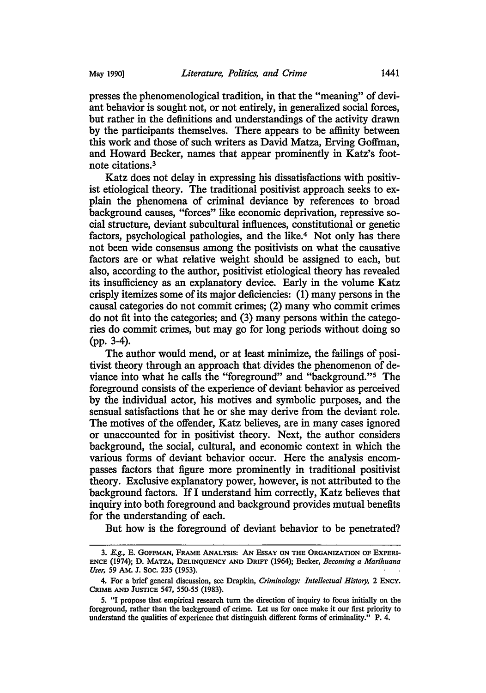presses the phenomenological tradition, in that the "meaning" of deviant behavior is sought not, or not entirely, in generalized social forces, but rather in the definitions and understandings of the activity drawn by the participants themselves. There appears to be affinity between this work and those of such writers as David Matza, Erving Goffman, and Howard Becker, names that appear prominently in Katz's footnote citations. 3

Katz does not delay in expressing his dissatisfactions with positivist etiological theory. The traditional positivist approach seeks to explain the phenomena of criminal deviance by references to broad background causes, "forces" like economic deprivation, repressive social structure, deviant subcultural influences, constitutional or genetic factors, psychological pathologies, and the like.<sup>4</sup> Not only has there not been wide consensus among the positivists on what the causative factors are or what relative weight should be assigned to each, but also, according to the author, positivist etiological theory has revealed its insufficiency as an explanatory device. Early in the volume Katz crisply itemizes some of its major deficiencies: (1) many persons in the causal categories do not commit crimes; (2) many who commit crimes do not fit into the categories; and (3) many persons within the categories do commit crimes, but may go for long periods without doing so (pp. 3-4).

The author would mend, or at least minimize, the failings of positivist theory through an approach that divides the phenomenon of deviance into what he calls the "foreground" and "background."5 The foreground consists of the experience of deviant behavior as perceived by the individual actor, his motives and symbolic purposes, and the sensual satisfactions that he or she may derive from the deviant role. The motives of the offender, Katz believes, are in many cases ignored or unaccounted for in positivist theory. Next, the author considers background, the social, cultural, and economic context in which the various forms of deviant behavior occur. Here the analysis encompasses factors that figure more prominently in traditional positivist theory. Exclusive explanatory power, however, is not attributed to the background factors. If I understand him correctly, Katz believes that inquiry into both foreground and background provides mutual benefits for the understanding of each.

But how is the foreground of deviant behavior to be penetrated?

<sup>3.</sup> *E.g.,* E. GOFFMAN, FRAME ANALYSIS: AN EssAY ON THE ORGANIZATION OF EXPERI-ENCE (1974); D. MATZA, DELINQUENCY AND DRIFT (1964); Becker, *Becoming a Marihuana User,* 59 AM. J. Soc. 235 (1953).

<sup>4.</sup> For a brief general discussion, see Drapkin, *Criminology: Intellectual History,* 2 ENCY. CRIME AND JUSTICE 547, *550-55* (1983).

*<sup>5.</sup>* "I propose that empirical research turn the direction of inquiry to focus initially on the foreground, rather than the background of crime. Let us for once make it our first priority to understand the qualities of experience that distinguish different forms of criminality.<sup> $\ddot{\textbf{v}}$ </sup> P. 4.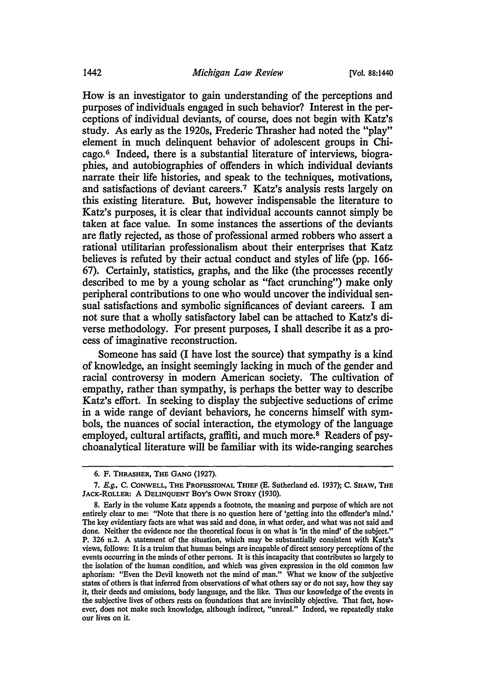How is an investigator to gain understanding of the perceptions and purposes of individuals engaged in such behavior? Interest in the perceptions of individual deviants, of course, does not begin with Katz's study. As early as the 1920s, Frederic Thrasher had noted the "play" element in much delinquent behavior of adolescent groups in Chicago.<sup>6</sup> Indeed, there is a substantial literature of interviews, biographies, and autobiographies of offenders in which individual deviants narrate their life histories, and speak to the techniques, motivations, and satisfactions of deviant careers.7 Katz's analysis rests largely on this existing literature. But, however indispensable the literature to Katz's purposes, it is clear that individual accounts cannot simply be taken at face value. In some instances the assertions of the deviants are flatly rejected, as those of professional armed robbers who assert a rational utilitarian professionalism about their enterprises that Katz believes is refuted by their actual conduct and styles of life (pp. 166- 67). Certainly, statistics, graphs, and the like (the processes recently described to me by a young scholar as "fact crunching") make only peripheral contributions to one who would uncover the individual sensual satisfactions and symbolic significances of deviant careers. I am not sure that a wholly satisfactory label can be attached to Katz's diverse methodology. For present purposes, I shall describe it as a process of imaginative reconstruction.

Someone has said (I have lost the source) that sympathy is a kind of knowledge, an insight seemingly lacking in much of the gender and racial controversy in modern American society. The cultivation of empathy, rather than sympathy, is perhaps the better way to describe Katz's effort. In seeking to display the subjective seductions of crime in a wide range of deviant behaviors, he concerns himself with symbols, the nuances of social interaction, the etymology of the language employed, cultural artifacts, graffiti, and much more.<sup>8</sup> Readers of psychoanalytical literature will be familiar with its wide-ranging searches

<sup>6.</sup> F. THRASHER, THE GANG (1927).

<sup>7.</sup> E.g., c. CONWELL, THE PROFESSIONAL THIEF (E. Sutherland ed. 1937); c. SHAW, THE JACK-ROLLER: A DELINQUENT BOY'S OWN STORY (1930).

<sup>8.</sup> Early in the volume Katz appends a footnote, the meaning and purpose of which are not entirely clear to me: "Note that there is no question here of 'getting into the offender's mind.' The key evidentiary facts are what was said and done, in what order, and what was not said and done. Neither the evidence nor the theoretical focus is on what is 'in the mind' of the subject." P. 326 n.2. A statement of the situation, which may be substantially consistent with Katz's views, follows: It is a truism that human beings are incapable of direct sensory perceptions of the events occurring in the minds of other persons. It is this incapacity that contributes so largely to the isolation of the human condition, and which was given expression in the old common law aphorism: "Even the Devil knoweth not the mind of man." What we know of the subjective states of others is that inferred from observations of what others say or do not say, how they say it, their deeds and omissions, body language, and the like. Thus our knowledge of the events in the subjective lives of others rests on foundations that are invincibly objective. That fact, however, does not make such knowledge, although indirect, "unreal." Indeed, we repeatedly stake our lives on it.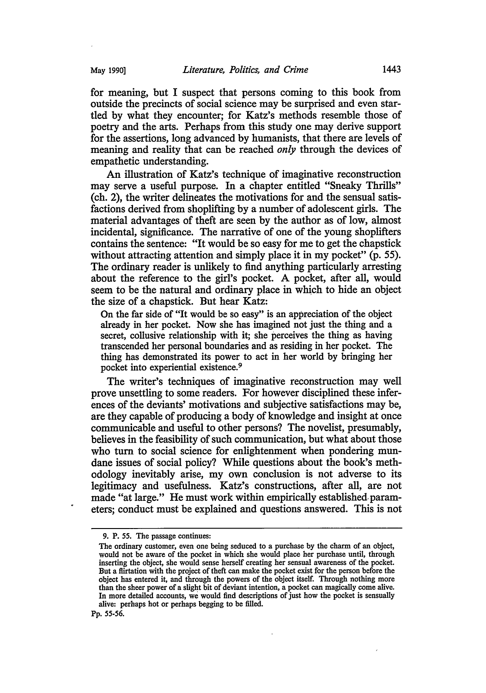for meaning, but I suspect that persons coming to this book from outside the precincts of social science may be surprised and even startled by what they encounter; for Katz's methods resemble those of poetry and the arts. Perhaps from this study one may derive support for the assertions, long advanced by humanists, that there are levels of meaning and reality that can be reached *only* through the devices of empathetic understanding.

An illustration of Katz's technique of imaginative reconstruction may serve a useful purpose. In a chapter entitled "Sneaky Thrills" (ch. 2), the writer delineates the motivations for and the sensual satisfactions derived from shoplifting by a number of adolescent girls. The material advantages of theft are seen by the author as of low, almost incidental, significance. The narrative of one of the young shoplifters contains the sentence: "It would be so easy for me to get the chapstick without attracting attention and simply place it in my pocket" (p. 55). The ordinary reader is unlikely to find anything particularly arresting about the reference to the girl's pocket. A pocket, after all, would seem to be the natural and ordinary place in which to hide an object the size of a chapstick. But hear Katz:

On the far side of "It would be so easy" is an appreciation of the object already in her pocket. Now she has imagined not just the thing and a secret, collusive relationship with it; she perceives the thing as having transcended her personal boundaries and as residing in her pocket. The thing has demonstrated its power to act in her world by bringing her pocket into experiential existence. 9

The writer's techniques of imaginative reconstruction may well prove unsettling to some readers. For however disciplined these inferences of the deviants' motivations and subjective satisfactions may be, are they capable of producing a body of knowledge and insight at once communicable and useful to other persons? The novelist, presumably, believes in the feasibility of such communication, but what about those who turn to social science for enlightenment when pondering mundane issues of social policy? While questions about the book's methodology inevitably arise, my own conclusion is not adverse to its legitimacy and usefulness. Katz's constructions, after all, are not made "at large." He must work within empirically established parameters; conduct must be explained and questions answered. This is not

<sup>9.</sup> P. *55.* The passage continues:

The ordinary customer, even one being seduced to a purchase by the charm of an object, would not be aware of the pocket in which she would place her purchase until, through inserting the object, she would sense herself creating her sensual awareness of the pocket. But a flirtation with the project of theft can make the pocket exist for the person before the object has entered it, and through the powers of the object itself. Through nothing more than the sheer power of a slight bit of deviant intention, a pocket can magically come alive. In more detailed accounts, we would find descriptions of just how the pocket is sensually alive: perhaps hot or perhaps begging to be filled. Pp. 55-56.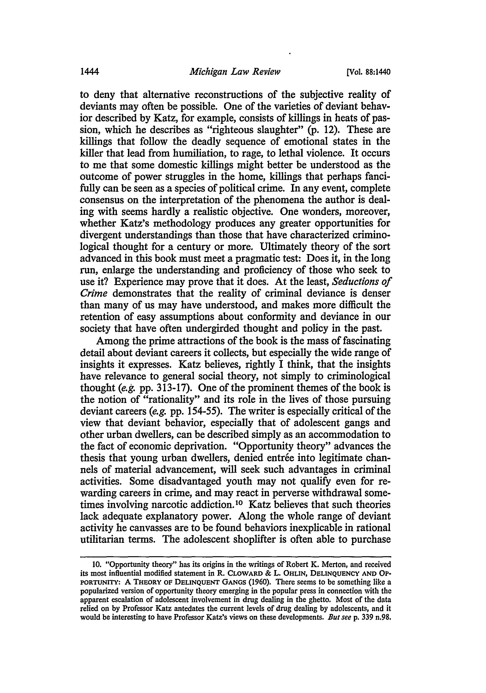to deny that alternative reconstructions of the subjective reality of deviants may often be possible. One of the varieties of deviant behavior described by Katz, for example, consists of killings in heats of passion, which he describes as "righteous slaughter" (p. 12). These are killings that follow the deadly sequence of emotional states in the killer that lead from humiliation, to rage, to lethal violence. It occurs to me that some domestic killings might better be understood as the outcome of power struggles in the home, killings that perhaps fancifully can be seen as a species of political crime. In any event, complete consensus on the interpretation of the phenomena the author is dealing with seems hardly a realistic objective. One wonders, moreover, whether Katz's methodology produces any greater opportunities for divergent understandings than those that have characterized criminological thought for a century or more. Ultimately theory of the sort advanced in this book must meet a pragmatic test: Does it, in the long run, enlarge the understanding and proficiency of those who seek to use it? Experience may prove that it does. At the least, *Seductions of Crime* demonstrates that the reality of criminal deviance is denser than many of us may have understood, and makes more difficult the retention of easy assumptions about conformity and deviance in our society that have often undergirded thought and policy in the past.

Among the prime attractions of the book is the mass of fascinating detail about deviant careers it collects, but especially the wide range of insights it expresses. Katz believes, rightly I think, that the insights have relevance to general social theory, not simply to criminological thought (e.g. pp. 313-17). One of the prominent themes of the book is the notion of "rationality" and its role in the lives of those pursuing deviant careers (e.g. pp. 154-55). The writer is especially critical of the view that deviant behavior, especially that of adolescent gangs and other urban dwellers, can be described simply as an accommodation to the fact of economic deprivation. "Opportunity theory" advances the thesis that young urban dwellers, denied entrée into legitimate channels of material advancement, will seek such advantages in criminal activities. Some disadvantaged youth may not qualify even for rewarding careers in crime, and may react in perverse withdrawal somewarding careers in ermie, and may react in perverse withdrawar some-<br>times involving narcotic addiction.<sup>10</sup> Katz believes that such theories lack adequate explanatory power. Along the whole range of deviant activity he canvasses are to be found behaviors inexplicable in rational utilitarian terms. The adolescent shoplifter is often able to purchase

<sup>10. &</sup>quot;Opportunity theory" has its origins in the writings of Robert K. Merton, and received its most influential modified statement in R. CLOWARD & L. OHLIN, DELINQUENCY AND OP· PORTUNITY: A THEORY OF DELINQUENT GANGS (1960). There seems to be something like a popularized version of opportunity theory emerging in the popular press in connection with the apparent escalation of adolescent involvement in drug dealing in the ghetto. Most of the data relied on by Professor Katz antedates the current levels of drug dealing by adolescents, and it would be interesting to have Professor Katz's views on these developments. *But see* p. 339 n.98.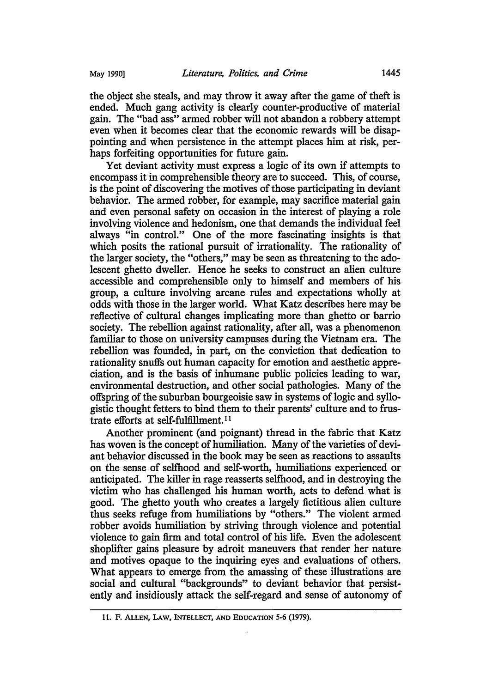the object she steals, and may throw it away after the game of theft is ended. Much gang activity is clearly counter-productive of material gain. The "bad ass" armed robber will not abandon a robbery attempt even when it becomes clear that the economic rewards will be disappointing and when persistence in the attempt places him at risk, perhaps forfeiting opportunities for future gain.

Yet deviant activity must express a logic of its own if attempts to encompass it in comprehensible theory are to succeed. This, of course, is the point of discovering the motives of those participating in deviant behavior. The armed robber, for example, may sacrifice material gain and even personal safety on occasion in the interest of playing a role involving violence and hedonism, one that demands the individual feel always "in control." One of the more fascinating insights is that which posits the rational pursuit of irrationality. The rationality of the larger society, the "others," may be seen as threatening to the adolescent ghetto dweller. Hence he seeks to construct an alien culture accessible and comprehensible only to himself and members of his group, a culture involving arcane rules and expectations wholly at odds with those in the larger world. What Katz describes here may be reflective of cultural changes implicating more than ghetto or barrio society. The rebellion against rationality, after all, was a phenomenon familiar to those on university campuses during the Vietnam era. The rebellion was founded, in part, on the conviction that dedication to rationality snuffs out human capacity for emotion and aesthetic appreciation, and is the basis of inhumane public policies leading to war, environmental destruction, and other social pathologies. Many of the offspring of the suburban bourgeoisie saw in systems of logic and syllogistic thought fetters to bind them to their parents' culture and to frustrate efforts at self-fulfillment.<sup>11</sup>

Another prominent (and poignant) thread in the fabric that Katz has woven is the concept of humiliation. Many of the varieties of deviant behavior discussed in the book may be seen as reactions to assaults on the sense of seltbood and self-worth, humiliations experienced or anticipated. The killer in rage reasserts seltbood, and in destroying the victim who has challenged his human worth, acts to defend what is good. The ghetto youth who creates a largely fictitious alien culture thus seeks refuge from humiliations by "others." The violent armed robber avoids humiliation by striving through violence and potential violence to gain firm and total control of his life. Even the adolescent shoplifter gains pleasure by adroit maneuvers that render her nature and motives opaque to the inquiring eyes and evaluations of others. What appears to emerge from the amassing of these illustrations are social and cultural "backgrounds" to deviant behavior that persistently and insidiously attack the self-regard and sense of autonomy of

<sup>11.</sup> F. ALLEN, LAW, INTELLECT, AND EDUCATION 5-6 (1979).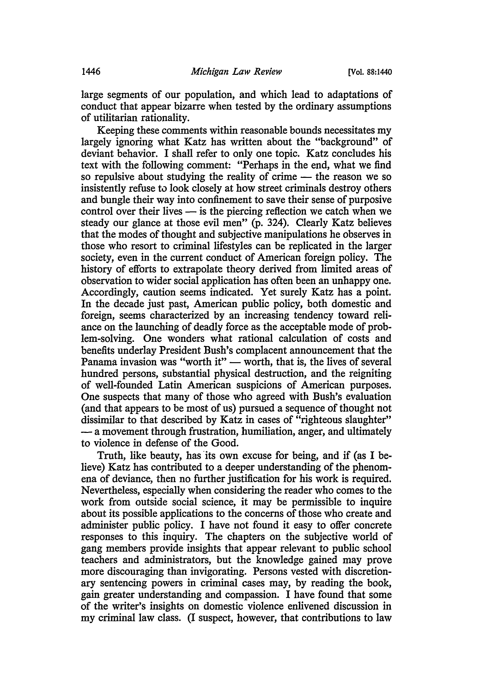large segments of our population, and which lead to adaptations of conduct that appear bizarre when tested by the ordinary assumptions of utilitarian rationality.

Keeping these comments within reasonable bounds necessitates my largely ignoring what Katz has written about the "background" of deviant behavior. I shall refer to only one topic. Katz concludes his text with the following comment: "Perhaps in the end, what we find so repulsive about studying the reality of crime  $-$  the reason we so insistently refuse to look closely at how street criminals destroy others and bungle their way into confinement to save their sense of purposive control over their lives — is the piercing reflection we catch when we steady our glance at those evil men" (p. 324). Clearly Katz believes that the modes of thought and subjective manipulations he observes in those who resort to criminal lifestyles can be replicated in the larger society, even in the current conduct of American foreign policy. The history of efforts to extrapolate theory derived from limited areas of observation to wider social application has often been an unhappy one. Accordingly, caution seems indicated. Yet surely Katz has a point. In the decade just past, American public policy, both domestic and foreign, seems characterized by an increasing tendency toward reliance on the launching of deadly force as the acceptable mode of problem-solving. One wonders what rational calculation of costs and benefits underlay President Bush's complacent announcement that the Panama invasion was "worth it"  $-$  worth, that is, the lives of several hundred persons, substantial physical destruction, and the reigniting of well-founded Latin American suspicions of American purposes. One suspects that many of those who agreed with Bush's evaluation (and that appears to be most of us) pursued a sequence of thought not dissimilar to that described by Katz in cases of "righteous slaughter"  $-$  a movement through frustration, humiliation, anger, and ultimately to violence in defense of the Good.

Truth, like beauty, has 'its own excuse for being, and if (as I believe) Katz has contributed to a deeper understanding of the phenomena of deviance, then no further justification for his work is required. Nevertheless, especially when considering the reader who comes to the work from outside social science, it may be permissible to inquire about its possible applications to the concerns of those who create and administer public policy. I have not found it easy to offer concrete responses to this inquiry. The chapters on the subjective world of gang members provide insights that appear relevant to public school teachers and administrators, but the knowledge gained may prove more discouraging than invigorating. Persons vested with discretionary sentencing powers in criminal cases may, by reading the book, gain greater understanding and compassion. I have found that some of the writer's insights on domestic violence enlivened discussion in my criminal law class. (I suspect, however, that contributions to law